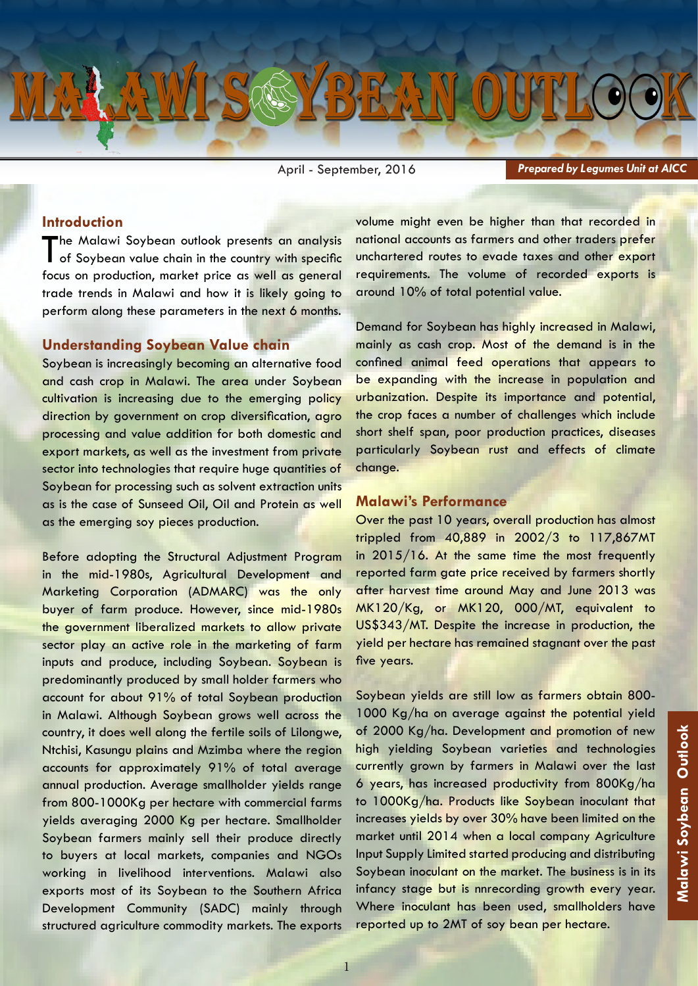

April - September, 2016

*Prepared by Legumes Unit at AICC*

### **Introduction**

The Malawi Soybean outlook presents an analysis<br>
of Soybean value chain in the country with specific focus on production, market price as well as general trade trends in Malawi and how it is likely going to perform along these parameters in the next 6 months.

### **Understanding Soybean Value chain**

Soybean is increasingly becoming an alternative food and cash crop in Malawi. The area under Soybean cultivation is increasing due to the emerging policy direction by government on crop diversification, agro processing and value addition for both domestic and export markets, as well as the investment from private sector into technologies that require huge quantities of Soybean for processing such as solvent extraction units as is the case of Sunseed Oil, Oil and Protein as well as the emerging soy pieces production.

Before adopting the Structural Adjustment Program in the mid-1980s, Agricultural Development and Marketing Corporation (ADMARC) was the only buyer of farm produce. However, since mid-1980s the government liberalized markets to allow private sector play an active role in the marketing of farm inputs and produce, including Soybean. Soybean is predominantly produced by small holder farmers who account for about 91% of total Soybean production in Malawi. Although Soybean grows well across the country, it does well along the fertile soils of Lilongwe, Ntchisi, Kasungu plains and Mzimba where the region accounts for approximately 91% of total average annual production. Average smallholder yields range from 800-1000Kg per hectare with commercial farms yields averaging 2000 Kg per hectare. Smallholder Soybean farmers mainly sell their produce directly to buyers at local markets, companies and NGOs working in livelihood interventions. Malawi also exports most of its Soybean to the Southern Africa Development Community (SADC) mainly through structured agriculture commodity markets. The exports volume might even be higher than that recorded in national accounts as farmers and other traders prefer unchartered routes to evade taxes and other export requirements. The volume of recorded exports is around 10% of total potential value.

Demand for Soybean has highly increased in Malawi, mainly as cash crop. Most of the demand is in the confined animal feed operations that appears to be expanding with the increase in population and urbanization. Despite its importance and potential, the crop faces a number of challenges which include short shelf span, poor production practices, diseases particularly Soybean rust and effects of climate change.

#### **Malawi's Performance**

Over the past 10 years, overall production has almost trippled from 40,889 in 2002/3 to 117,867MT in 2015/16. At the same time the most frequently reported farm gate price received by farmers shortly after harvest time around May and June 2013 was MK120/Kg, or MK120, 000/MT, equivalent to US\$343/MT. Despite the increase in production, the yield per hectare has remained stagnant over the past five years.

Soybean yields are still low as farmers obtain 800- 1000 Kg/ha on average against the potential yield of 2000 Kg/ha. Development and promotion of new high yielding Soybean varieties and technologies currently grown by farmers in Malawi over the last 6 years, has increased productivity from 800Kg/ha to 1000Kg/ha. Products like Soybean inoculant that increases yields by over 30% have been limited on the market until 2014 when a local company Agriculture Input Supply Limited started producing and distributing Soybean inoculant on the market. The business is in its infancy stage but is nnrecording growth every year. Where inoculant has been used, smallholders have reported up to 2MT of soy bean per hectare.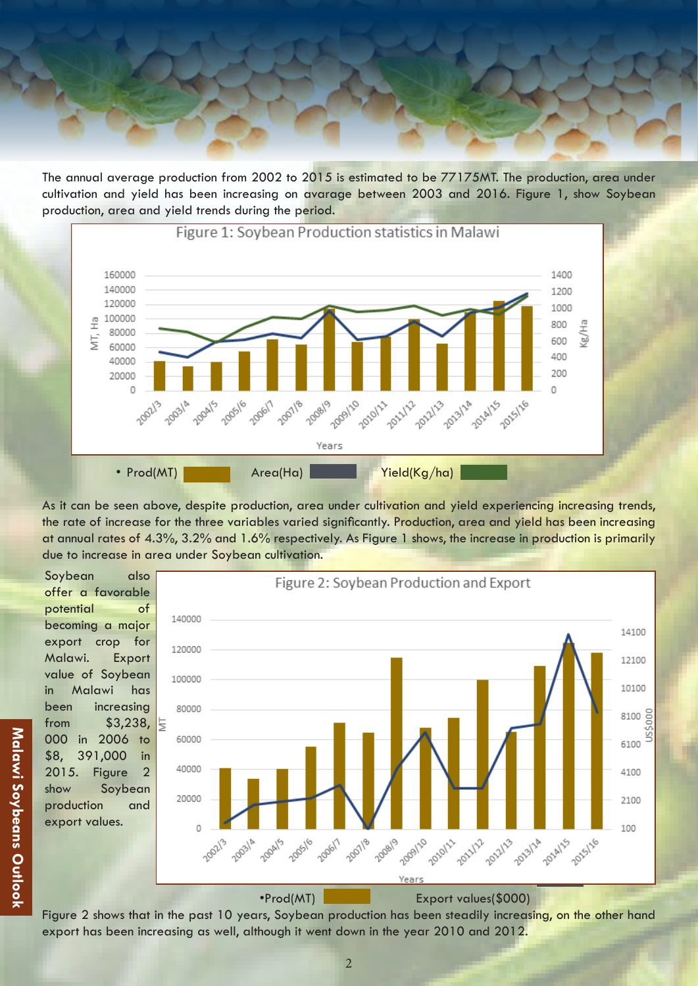The annual average production from 2002 to 2015 is estimated to be 77175MT. The production, area under cultivation and yield has been increasing on avarage between 2003 and 2016. Figure 1, show Soybean production, area and yield trends during the period.



As it can be seen above, despite production, area under cultivation and yield experiencing increasing trends, the rate of increase for the three variables varied significantly. Production, area and yield has been increasing at annual rates of 4.3%, 3.2% and 1.6% respectively. As Figure 1 shows, the increase in production is primarily due to increase in area under Soybean cultivation.

Soybean also offer a favorable potential of becoming a major export crop for Malawi. Export value of Soybean in Malawi has been increasing from \$3,238, 000 in 2006 to \$8, 391,000 in 2015. Figure 2 show Soybean production and export values.



•Prod(MT) Export values(\$000)

Figure 2 shows that in the past 10 years, Soybean production has been steadily increasing, on the other hand export has been increasing as well, although it went down in the year 2010 and 2012.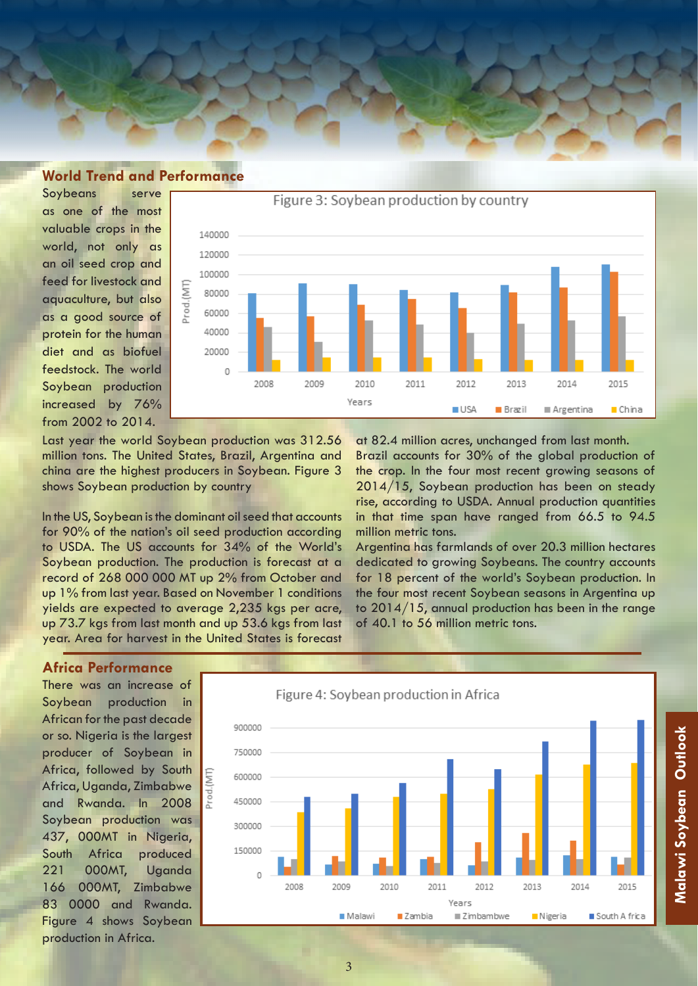

# **World Trend and Performance**

Soybeans serve as one of the most valuable crops in the world, not only as an oil seed crop and feed for livestock and aquaculture, but also as a good source of protein for the human diet and as biofuel feedstock. The world Soybean production increased by 76% from 2002 to 2014.



Last year the world Soybean production was 312.56 million tons. The United States, Brazil, Argentina and china are the highest producers in Soybean. Figure 3 shows Soybean production by country

Prod.(MT)

In the US, Soybean is the dominant oil seed that accounts for 90% of the nation's oil seed production according to USDA. The US accounts for 34% of the World's Soybean production. The production is forecast at a record of 268 000 000 MT up 2% from October and up 1% from last year. Based on November 1 conditions yields are expected to average 2,235 kgs per acre, up 73.7 kgs from last month and up 53.6 kgs from last year. Area for harvest in the United States is forecast

at 82.4 million acres, unchanged from last month. Brazil accounts for 30% of the global production of the crop. In the four most recent growing seasons of 2014/15, Soybean production has been on steady rise, according to USDA. Annual production quantities in that time span have ranged from 66.5 to 94.5 million metric tons.

Argentina has farmlands of over 20.3 million hectares dedicated to growing Soybeans. The country accounts for 18 percent of the world's Soybean production. In the four most recent Soybean seasons in Argentina up to 2014/15, annual production has been in the range of 40.1 to 56 million metric tons.

## **Africa Performance**

There was an increase of Soybean production in African for the past decade or so. Nigeria is the largest producer of Soybean in Africa, followed by South Africa, Uganda, Zimbabwe and Rwanda. In 2008 Soybean production was 437, 000MT in Nigeria, South Africa produced 221 000MT, Uganda 166 000MT, Zimbabwe 83 0000 and Rwanda. Figure 4 shows Soybean production in Africa.



3